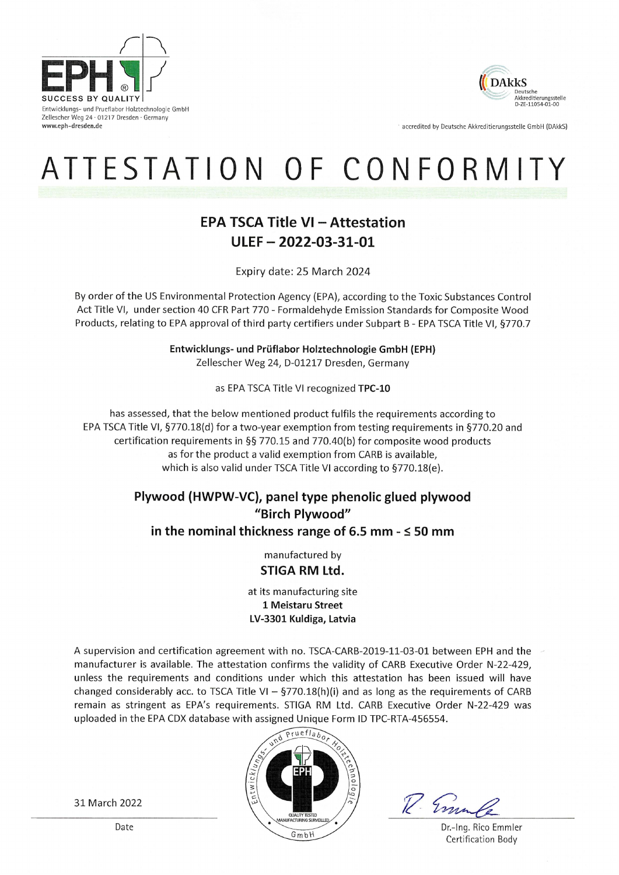

Entwicklungs- und Prueflabor Holztechnologie GmbH Zellescher Weg 24 · 01217 Dresden · Germany www.eph-dresden.de



accredited by Deutsche Akkreditierungsstelle GmbH (DAkkS)

# ATTESTATION OF CONFORMITY

## **EPA TSCA Title VI - Attestation**  $ULEF - 2022 - 03 - 31 - 01$

Expiry date: 25 March 2024

By order of the US Environmental Protection Agency (EPA), according to the Toxic Substances Control Act Title VI, under section 40 CFR Part 770 - Formaldehyde Emission Standards for Composite Wood Products, relating to EPA approval of third party certifiers under Subpart B - EPA TSCA Title VI, §770.7

> Entwicklungs- und Prüflabor Holztechnologie GmbH (EPH) Zellescher Weg 24, D-01217 Dresden, Germany

> > as EPA TSCA Title VI recognized TPC-10

has assessed, that the below mentioned product fulfils the requirements according to EPA TSCA Title VI, §770.18(d) for a two-year exemption from testing requirements in §770.20 and certification requirements in §§ 770.15 and 770.40(b) for composite wood products as for the product a valid exemption from CARB is available, which is also valid under TSCA Title VI according to §770.18(e).

## Plywood (HWPW-VC), panel type phenolic glued plywood "Birch Plywood" in the nominal thickness range of 6.5 mm  $\leq$  50 mm

manufactured by STIGA RM Ltd.

at its manufacturing site 1 Meistaru Street LV-3301 Kuldiga, Latvia

A supervision and certification agreement with no. TSCA-CARB-2019-11-03-01 between EPH and the manufacturer is available. The attestation confirms the validity of CARB Executive Order N-22-429, unless the requirements and conditions under which this attestation has been issued will have changed considerably acc. to TSCA Title VI -  $\S$ 770.18(h)(i) and as long as the requirements of CARB remain as stringent as EPA's requirements. STIGA RM Ltd. CARB Executive Order N-22-429 was uploaded in the EPA CDX database with assigned Unique Form ID TPC-RTA-456554.



V. Emm

Dr.-Ing. Rico Emmler Certification Body

31 March 2022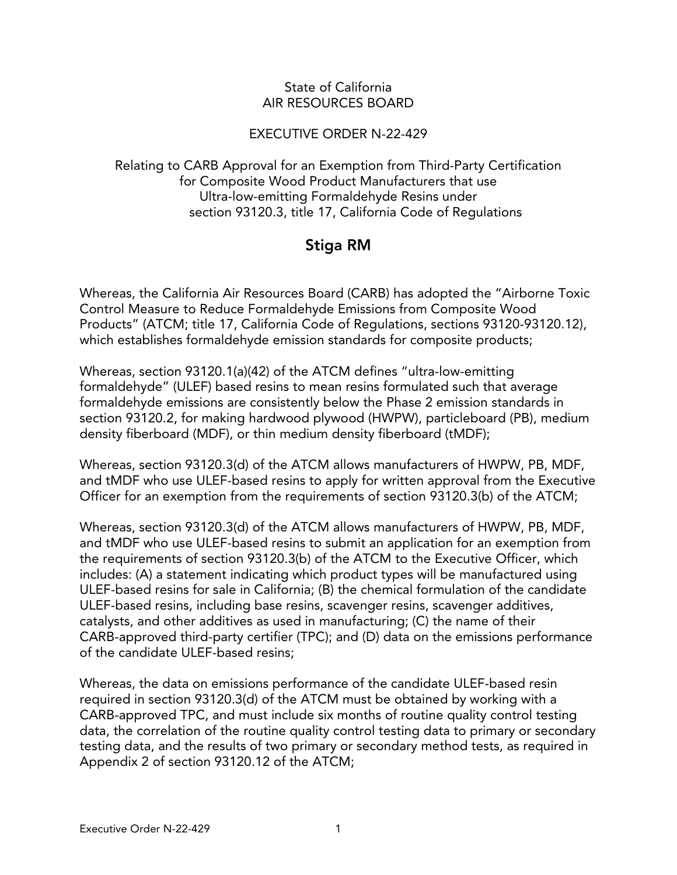#### State of California AIR RESOURCES BOARD

#### EXECUTIVE ORDER N-22-429

Relating to CARB Approval for an Exemption from Third-Party Certification for Composite Wood Product Manufacturers that use Ultra-low-emitting Formaldehyde Resins under section 93120.3, title 17, California Code of Regulations

## Stiga RM

Whereas, the California Air Resources Board (CARB) has adopted the "Airborne Toxic Control Measure to Reduce Formaldehyde Emissions from Composite Wood Products" (ATCM; title 17, California Code of Regulations, sections 93120-93120.12), which establishes formaldehyde emission standards for composite products;

Whereas, section 93120.1(a)(42) of the ATCM defines "ultra-low-emitting formaldehyde" (ULEF) based resins to mean resins formulated such that average formaldehyde emissions are consistently below the Phase 2 emission standards in section 93120.2, for making hardwood plywood (HWPW), particleboard (PB), medium density fiberboard (MDF), or thin medium density fiberboard (tMDF);

Whereas, section 93120.3(d) of the ATCM allows manufacturers of HWPW, PB, MDF, and tMDF who use ULEF-based resins to apply for written approval from the Executive Officer for an exemption from the requirements of section 93120.3(b) of the ATCM;

Whereas, section 93120.3(d) of the ATCM allows manufacturers of HWPW, PB, MDF, and tMDF who use ULEF-based resins to submit an application for an exemption from the requirements of section 93120.3(b) of the ATCM to the Executive Officer, which includes: (A) a statement indicating which product types will be manufactured using ULEF-based resins for sale in California; (B) the chemical formulation of the candidate ULEF-based resins, including base resins, scavenger resins, scavenger additives, catalysts, and other additives as used in manufacturing; (C) the name of their CARB-approved third-party certifier (TPC); and (D) data on the emissions performance of the candidate ULEF-based resins;

Whereas, the data on emissions performance of the candidate ULEF-based resin required in section 93120.3(d) of the ATCM must be obtained by working with a CARB-approved TPC, and must include six months of routine quality control testing data, the correlation of the routine quality control testing data to primary or secondary testing data, and the results of two primary or secondary method tests, as required in Appendix 2 of section 93120.12 of the ATCM;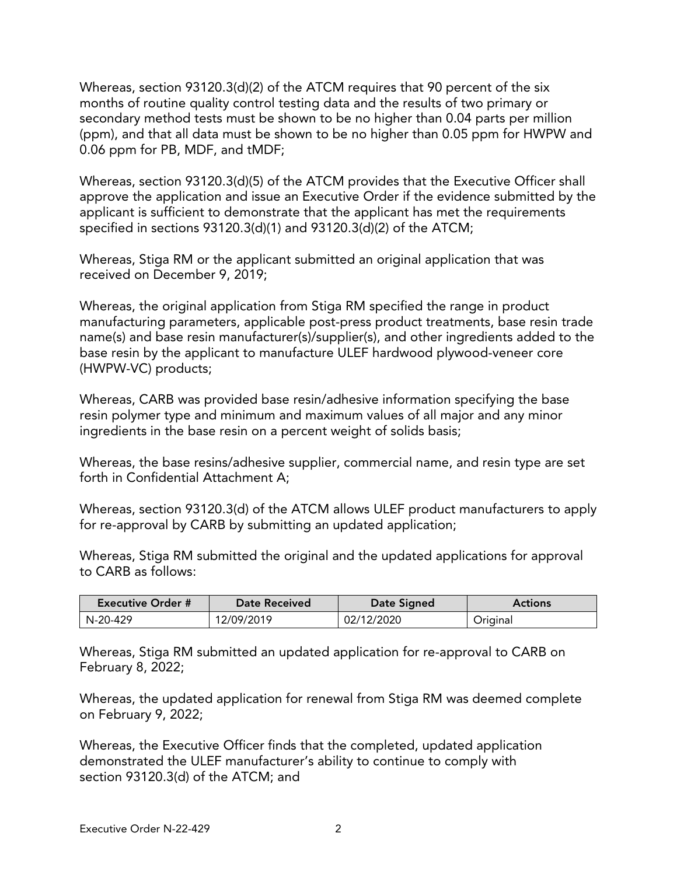Whereas, section 93120.3(d)(2) of the ATCM requires that 90 percent of the six months of routine quality control testing data and the results of two primary or secondary method tests must be shown to be no higher than 0.04 parts per million (ppm), and that all data must be shown to be no higher than 0.05 ppm for HWPW and 0.06 ppm for PB, MDF, and tMDF;

Whereas, section 93120.3(d)(5) of the ATCM provides that the Executive Officer shall approve the application and issue an Executive Order if the evidence submitted by the applicant is sufficient to demonstrate that the applicant has met the requirements specified in sections 93120.3(d)(1) and 93120.3(d)(2) of the ATCM;

Whereas, Stiga RM or the applicant submitted an original application that was received on December 9, 2019;

Whereas, the original application from Stiga RM specified the range in product manufacturing parameters, applicable post-press product treatments, base resin trade name(s) and base resin manufacturer(s)/supplier(s), and other ingredients added to the base resin by the applicant to manufacture ULEF hardwood plywood-veneer core (HWPW-VC) products;

Whereas, CARB was provided base resin/adhesive information specifying the base resin polymer type and minimum and maximum values of all major and any minor ingredients in the base resin on a percent weight of solids basis;

Whereas, the base resins/adhesive supplier, commercial name, and resin type are set forth in Confidential Attachment A;

Whereas, section 93120.3(d) of the ATCM allows ULEF product manufacturers to apply for re-approval by CARB by submitting an updated application;

Whereas, Stiga RM submitted the original and the updated applications for approval to CARB as follows:

| <b>Executive Order #</b> | <b>Date Received</b> | Date Signed | <b>Actions</b> |
|--------------------------|----------------------|-------------|----------------|
| N-20-429                 | 12/09/2019           | 02/12/2020  | Original       |

Whereas, Stiga RM submitted an updated application for re-approval to CARB on February 8, 2022;

Whereas, the updated application for renewal from Stiga RM was deemed complete on February 9, 2022;

Whereas, the Executive Officer finds that the completed, updated application demonstrated the ULEF manufacturer's ability to continue to comply with section 93120.3(d) of the ATCM; and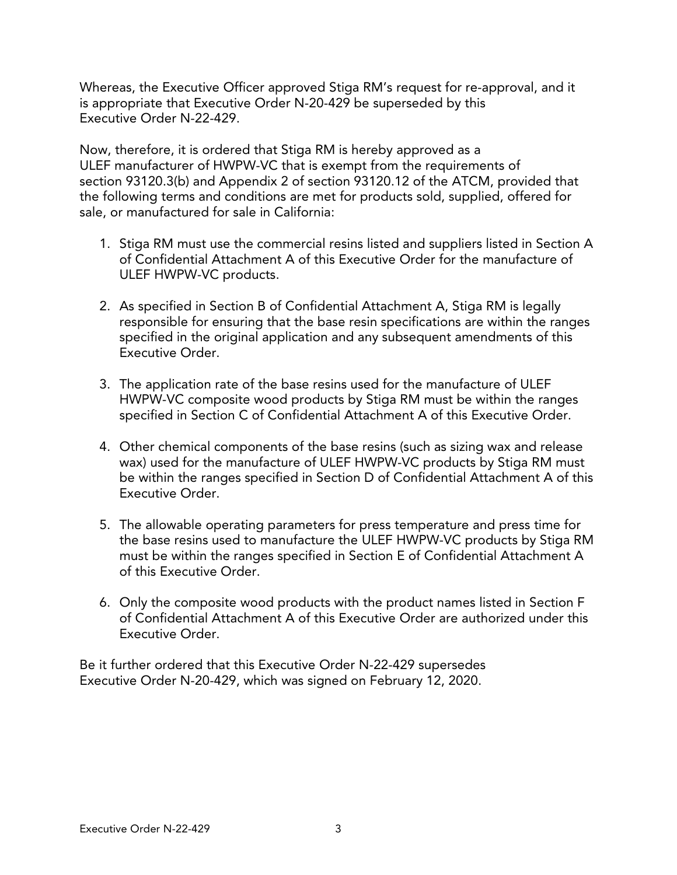Whereas, the Executive Officer approved Stiga RM's request for re-approval, and it is appropriate that Executive Order N-20-429 be superseded by this Executive Order N-22-429.

Now, therefore, it is ordered that Stiga RM is hereby approved as a ULEF manufacturer of HWPW-VC that is exempt from the requirements of section 93120.3(b) and Appendix 2 of section 93120.12 of the ATCM, provided that the following terms and conditions are met for products sold, supplied, offered for sale, or manufactured for sale in California:

- 1. Stiga RM must use the commercial resins listed and suppliers listed in Section A of Confidential Attachment A of this Executive Order for the manufacture of ULEF HWPW-VC products.
- 2. As specified in Section B of Confidential Attachment A, Stiga RM is legally responsible for ensuring that the base resin specifications are within the ranges specified in the original application and any subsequent amendments of this Executive Order.
- 3. The application rate of the base resins used for the manufacture of ULEF HWPW-VC composite wood products by Stiga RM must be within the ranges specified in Section C of Confidential Attachment A of this Executive Order.
- 4. Other chemical components of the base resins (such as sizing wax and release wax) used for the manufacture of ULEF HWPW-VC products by Stiga RM must be within the ranges specified in Section D of Confidential Attachment A of this Executive Order.
- 5. The allowable operating parameters for press temperature and press time for the base resins used to manufacture the ULEF HWPW-VC products by Stiga RM must be within the ranges specified in Section E of Confidential Attachment A of this Executive Order.
- 6. Only the composite wood products with the product names listed in Section F of Confidential Attachment A of this Executive Order are authorized under this Executive Order.

Be it further ordered that this Executive Order N-22-429 supersedes Executive Order N-20-429, which was signed on February 12, 2020.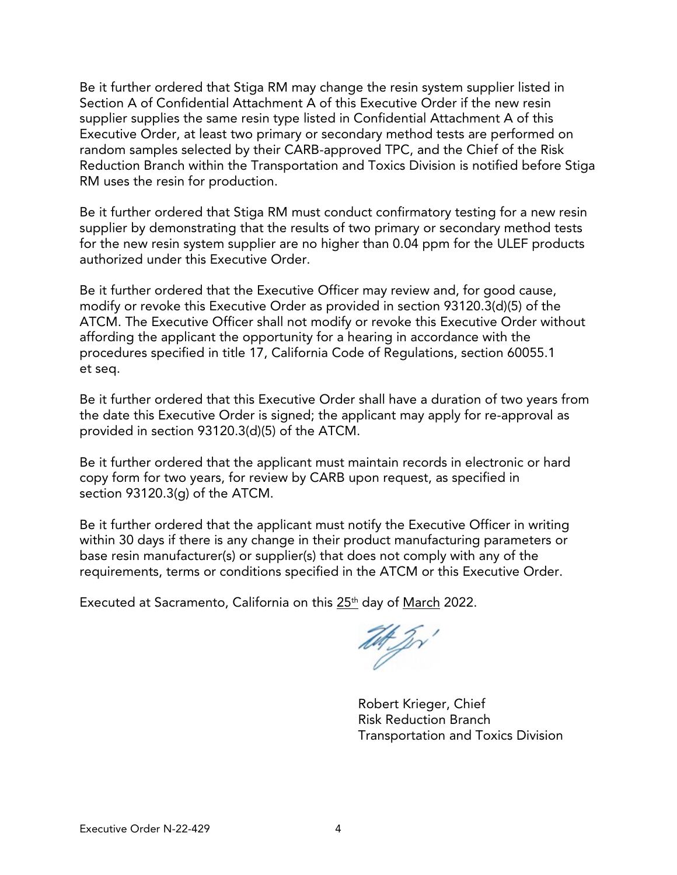Be it further ordered that Stiga RM may change the resin system supplier listed in Section A of Confidential Attachment A of this Executive Order if the new resin supplier supplies the same resin type listed in Confidential Attachment A of this Executive Order, at least two primary or secondary method tests are performed on random samples selected by their CARB-approved TPC, and the Chief of the Risk Reduction Branch within the Transportation and Toxics Division is notified before Stiga RM uses the resin for production.

Be it further ordered that Stiga RM must conduct confirmatory testing for a new resin supplier by demonstrating that the results of two primary or secondary method tests for the new resin system supplier are no higher than 0.04 ppm for the ULEF products authorized under this Executive Order.

Be it further ordered that the Executive Officer may review and, for good cause, modify or revoke this Executive Order as provided in section 93120.3(d)(5) of the ATCM. The Executive Officer shall not modify or revoke this Executive Order without affording the applicant the opportunity for a hearing in accordance with the procedures specified in title 17, California Code of Regulations, section 60055.1 et seq.

Be it further ordered that this Executive Order shall have a duration of two years from the date this Executive Order is signed; the applicant may apply for re-approval as provided in section 93120.3(d)(5) of the ATCM.

Be it further ordered that the applicant must maintain records in electronic or hard copy form for two years, for review by CARB upon request, as specified in section 93120.3(g) of the ATCM.

Be it further ordered that the applicant must notify the Executive Officer in writing within 30 days if there is any change in their product manufacturing parameters or base resin manufacturer(s) or supplier(s) that does not comply with any of the requirements, terms or conditions specified in the ATCM or this Executive Order.

Executed at Sacramento, California on this 25<sup>th</sup> day of March 2022.

TH Jr

Robert Krieger, Chief Risk Reduction Branch Transportation and Toxics Division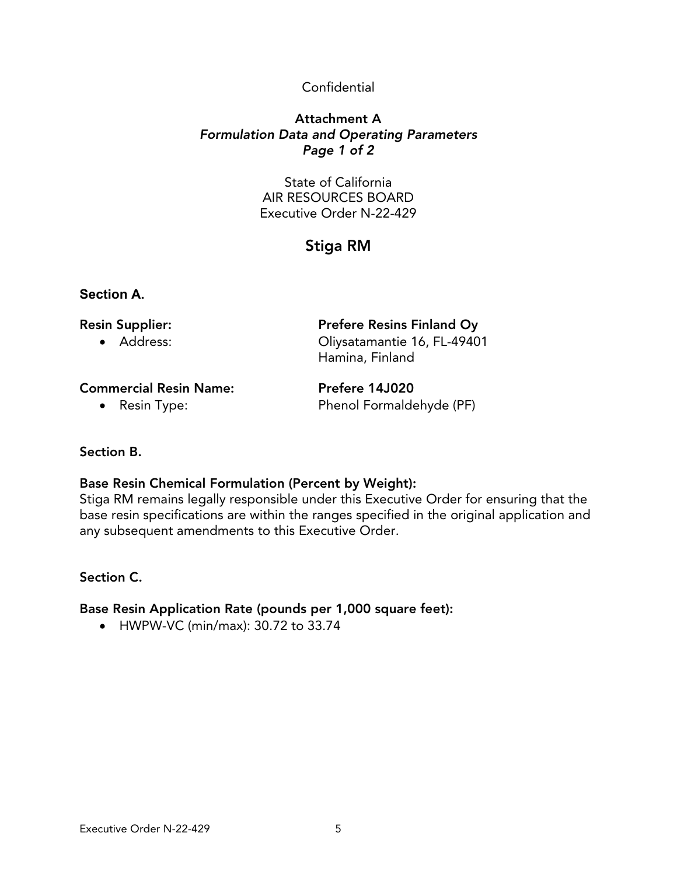#### Confidential

#### Attachment A *Formulation Data and Operating Parameters Page 1 of 2*

State of California AIR RESOURCES BOARD Executive Order N-22-429

# Stiga RM

#### **Section A.**

| <b>Resin Supplier:</b> | <b>Prefere Resins Finland Oy</b> |
|------------------------|----------------------------------|
| • Address:             | Oliysatamantie 16, FL-49401      |

Commercial Resin Name: Prefere 14J020

• Resin Type: Phenol Formaldehyde (PF)

Hamina, Finland

#### Section B.

### Base Resin Chemical Formulation (Percent by Weight):

Stiga RM remains legally responsible under this Executive Order for ensuring that the base resin specifications are within the ranges specified in the original application and any subsequent amendments to this Executive Order.

#### Section C.

#### Base Resin Application Rate (pounds per 1,000 square feet):

• HWPW-VC (min/max): 30.72 to 33.74